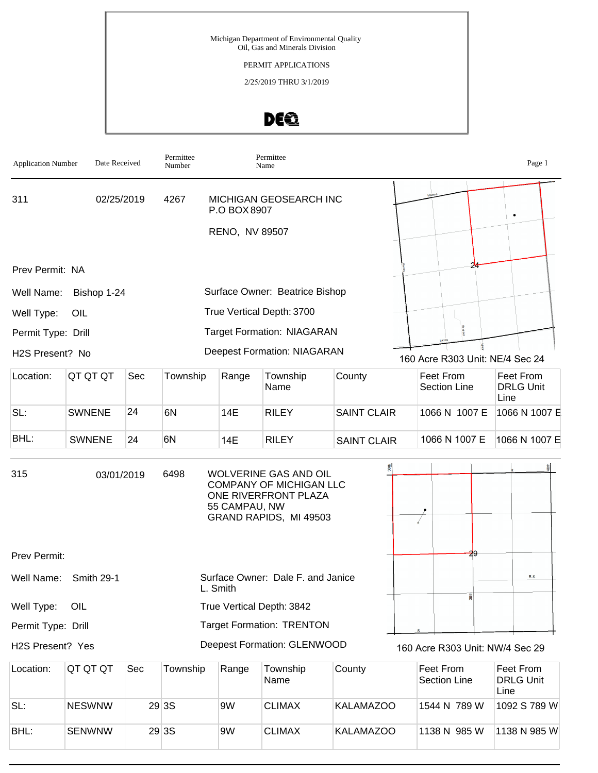#### PERMIT APPLICATIONS

2/25/2019 THRU 3/1/2019

# DEQ

| <b>Application Number</b> | Date Received |     | Permittee<br>Number |                | Permittee<br>Name                                                                                  |                    |                                  | Page 1                                |
|---------------------------|---------------|-----|---------------------|----------------|----------------------------------------------------------------------------------------------------|--------------------|----------------------------------|---------------------------------------|
| 311                       | 02/25/2019    |     | 4267                | P.O BOX 8907   | MICHIGAN GEOSEARCH INC                                                                             |                    |                                  |                                       |
|                           |               |     |                     | RENO, NV 89507 |                                                                                                    |                    |                                  |                                       |
| Prev Permit: NA           |               |     |                     |                |                                                                                                    |                    |                                  |                                       |
| Well Name:                | Bishop 1-24   |     |                     |                | Surface Owner: Beatrice Bishop                                                                     |                    |                                  |                                       |
| Well Type:                | OIL           |     |                     |                | True Vertical Depth: 3700                                                                          |                    |                                  |                                       |
| Permit Type: Drill        |               |     |                     |                | <b>Target Formation: NIAGARAN</b>                                                                  |                    |                                  |                                       |
| H2S Present? No           |               |     |                     |                | <b>Deepest Formation: NIAGARAN</b>                                                                 |                    | 160 Acre R303 Unit: NE/4 Sec 24  |                                       |
| Location:                 | QT QT QT      | Sec | Township            | Range          | Township<br>Name                                                                                   | County             | Feet From<br><b>Section Line</b> | Feet From<br><b>DRLG Unit</b><br>Line |
| SL:                       | <b>SWNENE</b> | 24  | 6N                  | 14E            | <b>RILEY</b>                                                                                       | <b>SAINT CLAIR</b> | 1066 N 1007 E                    | 1066 N 1007 E                         |
| BHL:                      | <b>SWNENE</b> | 24  | 6N                  | 14E            | <b>RILEY</b>                                                                                       | <b>SAINT CLAIR</b> | 1066 N 1007 E                    | 1066 N 1007 E                         |
| 315                       | 03/01/2019    |     | 6498                | 55 CAMPAU, NW  | WOLVERINE GAS AND OIL<br>COMPANY OF MICHIGAN LLC<br>ONE RIVERFRONT PLAZA<br>GRAND RAPIDS, MI 49503 |                    |                                  |                                       |
| Prev Permit:              |               |     |                     |                |                                                                                                    |                    |                                  |                                       |
| Well Name:                | Smith 29-1    |     | L. Smith            |                | Surface Owner: Dale F. and Janice                                                                  |                    |                                  | <b>RS</b>                             |
| Well Type:                | OIL           |     |                     |                | True Vertical Depth: 3842                                                                          |                    |                                  |                                       |
| Permit Type: Drill        |               |     |                     |                | <b>Target Formation: TRENTON</b>                                                                   |                    |                                  |                                       |
| H2S Present? Yes          |               |     |                     |                | <b>Deepest Formation: GLENWOOD</b>                                                                 |                    | 160 Acre R303 Unit: NW/4 Sec 29  |                                       |
| Location:                 | QT QT QT      | Sec | Township            | Range          | Township<br>Name                                                                                   | County             | Feet From<br><b>Section Line</b> | Feet From<br><b>DRLG Unit</b><br>Line |
| $C1$ .                    | NIEQWINIM     |     | 2022                | 01M            | $C$ IMAY                                                                                           | $KAI$ $MAIZOM$     | 1511 N 790 W                     | $1002 \times 790$ $M$                 |

|      |               |        |    | Name          |           | Section Line | <b>DRLG Unit</b><br>Line |
|------|---------------|--------|----|---------------|-----------|--------------|--------------------------|
| SL:  | <b>NESWNW</b> | 29 3 S | 9W | <b>CLIMAX</b> | KALAMAZOO | 1544 N 789 W | 1092 S 789 W             |
| BHL: | <b>SENWNW</b> | 29 3 S | 9W | <b>CLIMAX</b> | KALAMAZOO | 1138 N 985 W | 1138 N 985 W             |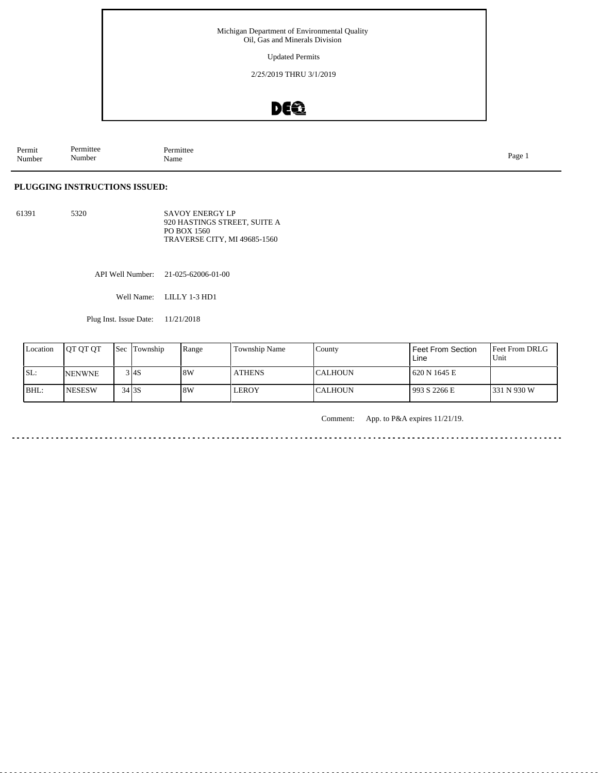Updated Permits

2/25/2019 THRU 3/1/2019

### DEQ

Permit Number Permittee Number Permittee<br>Name Name Page 1

#### **PLUGGING INSTRUCTIONS ISSUED:**

61391 5320 SAVOY ENERGY LP 920 HASTINGS STREET, SUITE A PO BOX 1560 TRAVERSE CITY, MI 49685-1560

API Well Number: 21-025-62006-01-00

Well Name: LILLY 1-3 HD1

Plug Inst. Issue Date: 11/21/2018

| Location | <b>IOT OT OT</b> |                    | Sec Township | Range | Township Name | County          | <b>Feet From Section</b><br>Line | <b>Feet From DRLG</b><br>Unit |
|----------|------------------|--------------------|--------------|-------|---------------|-----------------|----------------------------------|-------------------------------|
| SL:      | <b>INENWNE</b>   |                    | 3 I4S        | 18W   | <b>ATHENS</b> | <b>ICALHOUN</b> | 620 N 1645 E                     |                               |
| BHL:     | <b>INESESW</b>   | $34$ <sub>3S</sub> |              | 8W    | LEROY         | <b>CALHOUN</b>  | 993 S 2266 E                     | 1331 N 930 W                  |

Comment: App. to P&A expires 11/21/19.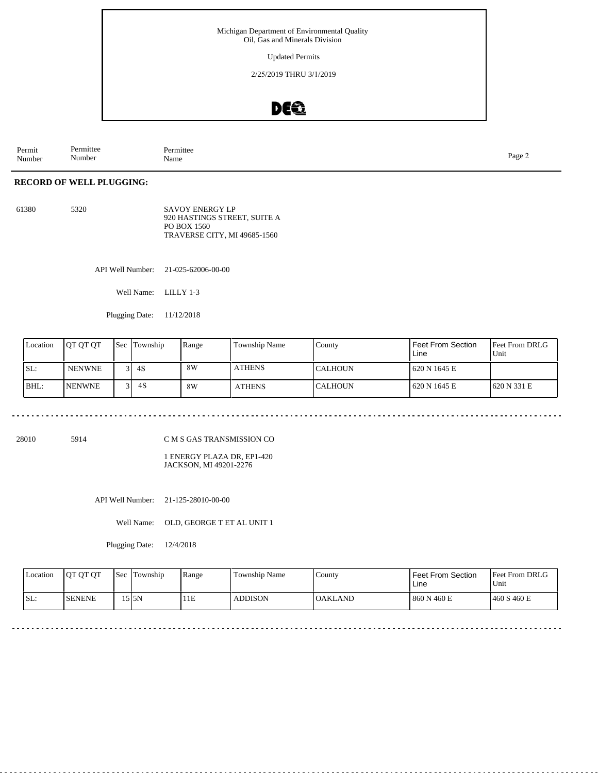Updated Permits

2/25/2019 THRU 3/1/2019

### DEQ

Permit Number Permittee Number Permittee<br>Name Page 2<br>Name

#### **RECORD OF WELL PLUGGING:**

61380 5320 SAVOY ENERGY LP 920 HASTINGS STREET, SUITE A PO BOX 1560 TRAVERSE CITY, MI 49685-1560

API Well Number: 21-025-62006-00-00

Well Name: LILLY 1-3

Plugging Date: 11/12/2018

| Location | <b>JOT OT OT</b> | Sec              | Township | Range | <b>Township Name</b> | County          | Feet From Section<br>Line | <b>Feet From DRLG</b><br>Unit |
|----------|------------------|------------------|----------|-------|----------------------|-----------------|---------------------------|-------------------------------|
| SL:      | <b>NENWNE</b>    |                  | $3$ 4S   | 8W    | <b>ATHENS</b>        | <b>ICALHOUN</b> | 620 N 1645 E              |                               |
| BHL:     | <b>INENWNE</b>   | $\overline{2}$ 1 | 4S       | 8W    | <b>ATHENS</b>        | <b>CALHOUN</b>  | 620 N 1645 E              | 1620 N 331 E                  |

28010 5914

C M S GAS TRANSMISSION CO

1 ENERGY PLAZA DR, EP1-420 JACKSON, MI 49201-2276

API Well Number: 21-125-28010-00-00

Well Name: OLD, GEORGE T ET AL UNIT 1

Plugging Date: 12/4/2018

|     | <b>Location</b> | <b>IOT OT OT</b> | <b>Sec</b> | Township | Range | Township Name  | County   | Feet From Section<br>Line | <b>Feet From DRLG</b><br>Unit |
|-----|-----------------|------------------|------------|----------|-------|----------------|----------|---------------------------|-------------------------------|
| SL: |                 | <b>ISENENE</b>   |            | 515N     | 11E   | <b>ADDISON</b> | IOAKLAND | 860 N 460 E               | 460 S 460 E                   |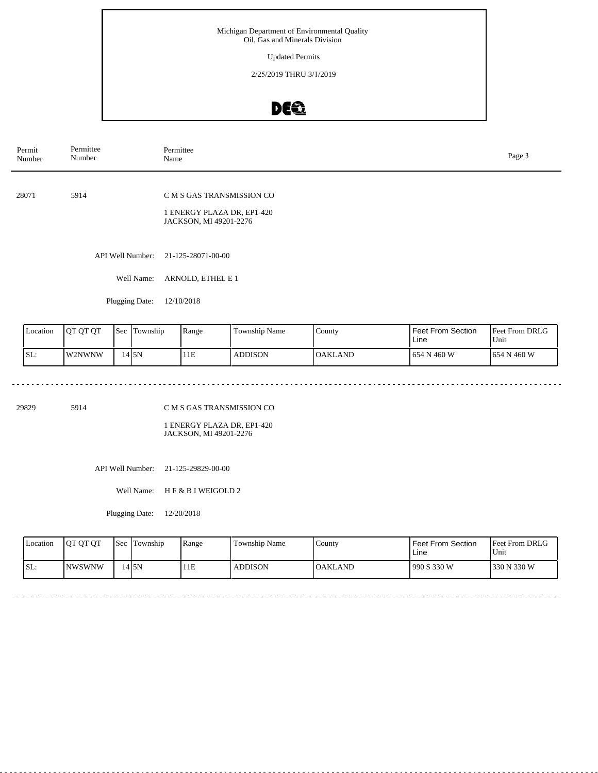Updated Permits

2/25/2019 THRU 3/1/2019

### DE®

| Permit<br>Number | Permittee<br>Number | Permittee<br>Name                                                                 | Page 3 |
|------------------|---------------------|-----------------------------------------------------------------------------------|--------|
| 28071            | 5914                | C M S GAS TRANSMISSION CO<br>1 ENERGY PLAZA DR, EP1-420<br>JACKSON, MI 49201-2276 |        |
|                  | API Well Number:    | 21-125-28071-00-00                                                                |        |
|                  | Well Name:          | ARNOLD, ETHEL E 1                                                                 |        |
|                  | Plugging Date:      | 12/10/2018                                                                        |        |

| Location | <b>IOT OT OT</b> | 'Sec | Township | Range | Township Name  | County   | Feet From Section<br>Line | <b>Feet From DRLG</b><br>Unit |
|----------|------------------|------|----------|-------|----------------|----------|---------------------------|-------------------------------|
| ISL:     | <b>IW2NWNW</b>   |      | 14 SN    | 11E   | <b>ADDISON</b> | IOAKLAND | 1654 N 460 W              | 1654 N 460 W                  |

29829 5914

. . . . . . . . . . **.** 

C M S GAS TRANSMISSION CO

1 ENERGY PLAZA DR, EP1-420 JACKSON, MI 49201-2276

API Well Number: 21-125-29829-00-00

Well Name: H F & B I WEIGOLD 2

Plugging Date: 12/20/2018

| <b>Location</b> | <b>OT OT OT</b> | <b>Sec</b> | Township | Range | Township Name  | County   | Feet From Section<br>∟ine | <b>Feet From DRLG</b><br>Unit |
|-----------------|-----------------|------------|----------|-------|----------------|----------|---------------------------|-------------------------------|
| SL:             | <b>NWSWNW</b>   |            | 4 I 5 N  | 1E    | <b>ADDISON</b> | IOAKLAND | 1990 S 330 W              | 1330 N 330 W                  |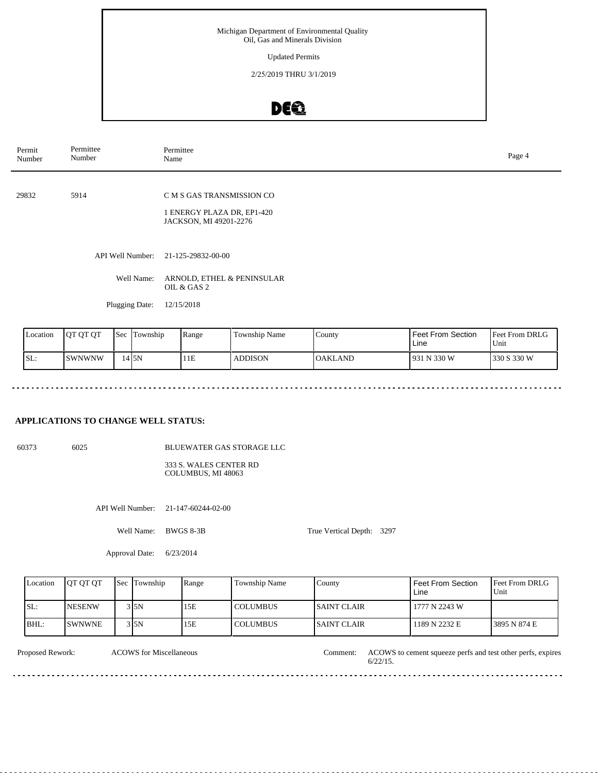Updated Permits

2/25/2019 THRU 3/1/2019

### DEQ

| Permit<br>Number | Permittee<br>Number | Permittee<br>Name                                                                 | Page 4 |
|------------------|---------------------|-----------------------------------------------------------------------------------|--------|
| 29832            | 5914                | C M S GAS TRANSMISSION CO<br>1 ENERGY PLAZA DR, EP1-420<br>JACKSON, MI 49201-2276 |        |
|                  | API Well Number:    | 21-125-29832-00-00                                                                |        |
|                  | Well Name:          | ARNOLD, ETHEL & PENINSULAR<br>OIL & GAS 2                                         |        |
|                  | Plugging Date:      | 12/15/2018                                                                        |        |

| Location | OT OT OT | <b>Sec</b> | Township | Range | <b>Township Name</b> | . County       | <b>Feet From Section</b><br>Line | <b>Feet From DRLG</b><br>Unit |
|----------|----------|------------|----------|-------|----------------------|----------------|----------------------------------|-------------------------------|
| SL:      | ISWNWNW  |            | 14 ISN   | 11E   | <b>ADDISON</b>       | <b>OAKLAND</b> | 931 N 330 W                      | 330 S 330 W                   |

#### **APPLICATIONS TO CHANGE WELL STATUS:**

60373 6025

BLUEWATER GAS STORAGE LLC

333 S. WALES CENTER RD COLUMBUS, MI 48063

API Well Number: 21-147-60244-02-00

Well Name: BWGS 8-3B

True Vertical Depth: 3297

Approval Date: 6/23/2014

| Location | <b>OT OT OT</b> | Sec Township | Range | Township Name   | County             | <b>Feet From Section</b><br>Line | <b>Feet From DRLG</b><br>Unit |
|----------|-----------------|--------------|-------|-----------------|--------------------|----------------------------------|-------------------------------|
| ISL:     | <b>NESENW</b>   | 3 I5N        | 15E   | <b>COLUMBUS</b> | <b>SAINT CLAIR</b> | 1777 N 2243 W                    |                               |
| BHL:     | <b>SWNWNE</b>   | 3 I5N        | 15E   | <b>COLUMBUS</b> | <b>SAINT CLAIR</b> | 1189 N 2232 E                    | 3895 N 874 E                  |

<u>. . . . . . . .</u>

ACOWS for Miscellaneous

Proposed Rework: ACOWS for Miscellaneous Comment: ACOWS to cement squeeze perfs and test other perfs, expires 6/22/15. Comment:

<u>. . . . . . . . .</u>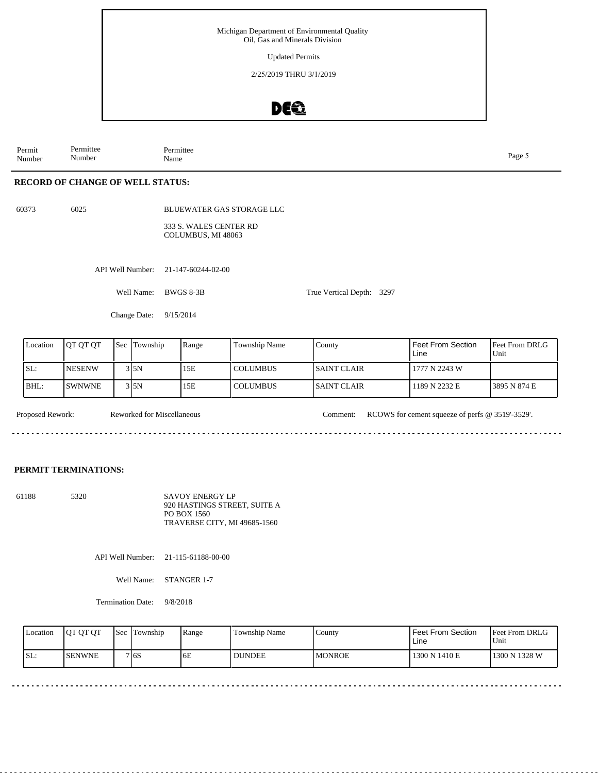Updated Permits

2/25/2019 THRU 3/1/2019

### DEO

Permit Number Permittee Number

Permittee<br>Name Name Page 5

#### **RECORD OF CHANGE OF WELL STATUS:**

60373 6025

BLUEWATER GAS STORAGE LLC

333 S. WALES CENTER RD COLUMBUS, MI 48063

API Well Number: 21-147-60244-02-00

Well Name: BWGS 8-3B

True Vertical Depth: 3297

Change Date: 9/15/2014

| Location | IOT OT OT      | <b>Sec Township</b> | Range | <b>Township Name</b> | County              | Feet From Section<br>Line | Feet From DRLG<br>Unit |
|----------|----------------|---------------------|-------|----------------------|---------------------|---------------------------|------------------------|
| SL:      | <b>INESENW</b> | 315N                | 15E   | l COLUMBUS           | <b>ISAINT CLAIR</b> | 1777 N 2243 W             |                        |
| BHL:     | <b>SWNWNE</b>  | 3 I 5 N             | 15E   | l COLUMBUS           | <b>ISAINT CLAIR</b> | 1189 N 2232 E             | 3895 N 874 E           |

Proposed Rework: Reworked for Miscellaneous Comment: RCOWS for cement squeeze of perfs @ 3519'-3529'. Reworked for Miscellaneous <u>. . . . . . .</u> 

#### **PERMIT TERMINATIONS:**

61188 5320 SAVOY ENERGY LP 920 HASTINGS STREET, SUITE A PO BOX 1560 TRAVERSE CITY, MI 49685-1560

API Well Number: 21-115-61188-00-00

Well Name: STANGER 1-7

Termination Date: 9/8/2018

| Location | <b>IOT OT OT</b> | 'Sec | Township           | Range | Township Name | County         | <b>Feet From Section</b><br>∟ine | <b>Feet From DRLG</b><br>Unit |
|----------|------------------|------|--------------------|-------|---------------|----------------|----------------------------------|-------------------------------|
| SL:      | <b>ISENWNE</b>   |      | 7 I <sub>6</sub> S | 6E    | <b>DUNDEE</b> | <b>IMONROE</b> | 1300 N 1410 E                    | 1300 N 1328 W                 |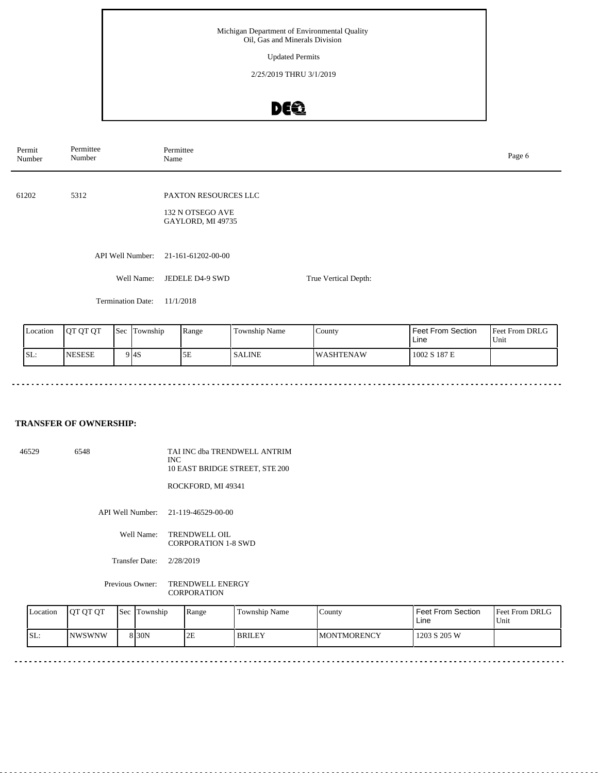Updated Permits

2/25/2019 THRU 3/1/2019

### DEQ

| Permit<br>Number | Permittee<br>Number      | Permittee<br>Page 6<br>Name                                          |                      |  |  |  |
|------------------|--------------------------|----------------------------------------------------------------------|----------------------|--|--|--|
| 61202            | 5312                     | <b>PAXTON RESOURCES LLC</b><br>132 N OTSEGO AVE<br>GAYLORD, MI 49735 |                      |  |  |  |
|                  | API Well Number:         | 21-161-61202-00-00                                                   |                      |  |  |  |
|                  | Well Name:               | JEDELE D4-9 SWD                                                      | True Vertical Depth: |  |  |  |
|                  | <b>Termination Date:</b> | 11/1/2018                                                            |                      |  |  |  |

| Location | IOT OT OT      | Sec | Township          | Range | $\mathbf{r}$<br>Township Name | County            | Feet From Section<br>Line | <b>Feet From DRLG</b><br>Unit |
|----------|----------------|-----|-------------------|-------|-------------------------------|-------------------|---------------------------|-------------------------------|
| ISL:     | <b>INESESE</b> |     | 9 <sub>14</sub> S | 5E    | <b>SALINE</b>                 | <b>IWASHTENAW</b> | 1002 S 187 E              |                               |

#### **TRANSFER OF OWNERSHIP:**

46529 6548 TAI INC dba TRENDWELL ANTRIM INC 10 EAST BRIDGE STREET, STE 200

ROCKFORD, MI 49341

API Well Number: 21-119-46529-00-00

Well Name: TRENDWELL OIL CORPORATION 1-8 SWD

Transfer Date: 2/28/2019

Previous Owner: TRENDWELL ENERGY CORPORATION

| <b>L</b> ocation | <b>IOT OT OT</b> | <b>Sec</b> | Township          | Range | Township Name | $\sqrt{\frac{1}{2}}$ | Feet From Section<br>Line | Feet From DRLG<br>Unit |
|------------------|------------------|------------|-------------------|-------|---------------|----------------------|---------------------------|------------------------|
| ISL:             | <b>INWSWNW</b>   |            | 8 <sub>30</sub> N | 2E    | <b>BRILEY</b> | <b>IMONTMORENCY</b>  | 1203 S 205 W              |                        |

 $\frac{1}{2}$